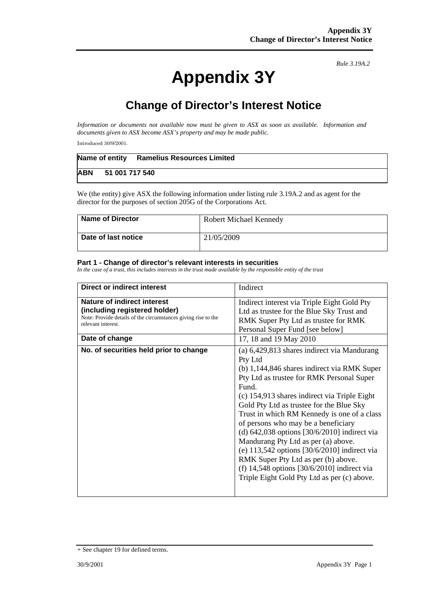## **Appendix 3Y**

*Rule 3.19A.2* 

## **Change of Director's Interest Notice**

*Information or documents not available now must be given to ASX as soon as available. Information and documents given to ASX become ASX's property and may be made public.* 

Introduced 30/9/2001.

|            |                | Name of entity Ramelius Resources Limited |
|------------|----------------|-------------------------------------------|
| <b>ABN</b> | 51 001 717 540 |                                           |

We (the entity) give ASX the following information under listing rule 3.19A.2 and as agent for the director for the purposes of section 205G of the Corporations Act.

| <b>Name of Director</b> | <b>Robert Michael Kennedy</b> |  |
|-------------------------|-------------------------------|--|
| Date of last notice     | 21/05/2009                    |  |

## **Part 1 - Change of director's relevant interests in securities**

*In the case of a trust, this includes interests in the trust made available by the responsible entity of the trust* 

| Direct or indirect interest                                                                                                                                | Indirect                                                                                                                                                                                                                                                                                                                                                                                                                                                                                                                                                                                                                                  |  |  |
|------------------------------------------------------------------------------------------------------------------------------------------------------------|-------------------------------------------------------------------------------------------------------------------------------------------------------------------------------------------------------------------------------------------------------------------------------------------------------------------------------------------------------------------------------------------------------------------------------------------------------------------------------------------------------------------------------------------------------------------------------------------------------------------------------------------|--|--|
| <b>Nature of indirect interest</b><br>(including registered holder)<br>Note: Provide details of the circumstances giving rise to the<br>relevant interest. | Indirect interest via Triple Eight Gold Pty<br>Ltd as trustee for the Blue Sky Trust and<br>RMK Super Pty Ltd as trustee for RMK<br>Personal Super Fund [see below]                                                                                                                                                                                                                                                                                                                                                                                                                                                                       |  |  |
| Date of change                                                                                                                                             | 17, 18 and 19 May 2010                                                                                                                                                                                                                                                                                                                                                                                                                                                                                                                                                                                                                    |  |  |
| No. of securities held prior to change                                                                                                                     | (a) 6,429,813 shares indirect via Mandurang<br>Pty Ltd<br>(b) 1,144,846 shares indirect via RMK Super<br>Pty Ltd as trustee for RMK Personal Super<br><b>Fund</b><br>(c) 154,913 shares indirect via Triple Eight<br>Gold Pty Ltd as trustee for the Blue Sky<br>Trust in which RM Kennedy is one of a class<br>of persons who may be a beneficiary<br>(d) $642,038$ options $[30/6/2010]$ indirect via<br>Mandurang Pty Ltd as per (a) above.<br>(e) $113,542$ options $[30/6/2010]$ indirect via<br>RMK Super Pty Ltd as per (b) above.<br>(f) $14,548$ options [30/6/2010] indirect via<br>Triple Eight Gold Pty Ltd as per (c) above. |  |  |

<sup>+</sup> See chapter 19 for defined terms.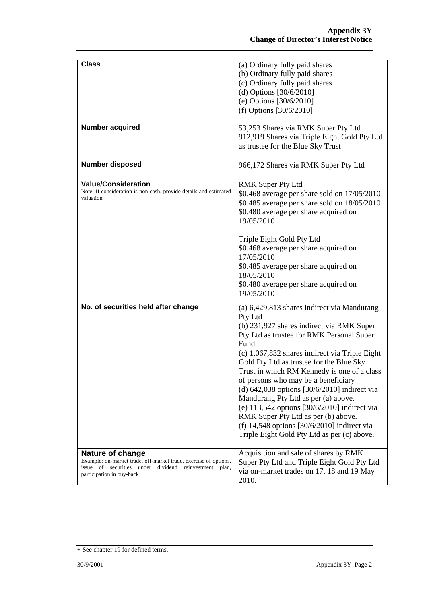| <b>Class</b>                                                                                                                                                                      | (a) Ordinary fully paid shares<br>(b) Ordinary fully paid shares<br>(c) Ordinary fully paid shares<br>(d) Options [30/6/2010]<br>(e) Options $[30/6/2010]$<br>(f) Options $[30/6/2010]$                                                                                                                                                                                                                                                                                                                                                                                                                                             |
|-----------------------------------------------------------------------------------------------------------------------------------------------------------------------------------|-------------------------------------------------------------------------------------------------------------------------------------------------------------------------------------------------------------------------------------------------------------------------------------------------------------------------------------------------------------------------------------------------------------------------------------------------------------------------------------------------------------------------------------------------------------------------------------------------------------------------------------|
| Number acquired                                                                                                                                                                   | 53,253 Shares via RMK Super Pty Ltd<br>912,919 Shares via Triple Eight Gold Pty Ltd<br>as trustee for the Blue Sky Trust                                                                                                                                                                                                                                                                                                                                                                                                                                                                                                            |
| <b>Number disposed</b>                                                                                                                                                            | 966,172 Shares via RMK Super Pty Ltd                                                                                                                                                                                                                                                                                                                                                                                                                                                                                                                                                                                                |
| <b>Value/Consideration</b><br>Note: If consideration is non-cash, provide details and estimated<br>valuation                                                                      | <b>RMK Super Pty Ltd</b><br>\$0.468 average per share sold on 17/05/2010<br>\$0.485 average per share sold on 18/05/2010<br>\$0.480 average per share acquired on<br>19/05/2010<br>Triple Eight Gold Pty Ltd<br>\$0.468 average per share acquired on<br>17/05/2010<br>\$0.485 average per share acquired on<br>18/05/2010<br>\$0.480 average per share acquired on<br>19/05/2010                                                                                                                                                                                                                                                   |
| No. of securities held after change                                                                                                                                               | (a) 6,429,813 shares indirect via Mandurang<br>Pty Ltd<br>(b) 231,927 shares indirect via RMK Super<br>Pty Ltd as trustee for RMK Personal Super<br>Fund.<br>(c) 1,067,832 shares indirect via Triple Eight<br>Gold Pty Ltd as trustee for the Blue Sky<br>Trust in which RM Kennedy is one of a class<br>of persons who may be a beneficiary<br>(d) $642,038$ options $[30/6/2010]$ indirect via<br>Mandurang Pty Ltd as per (a) above.<br>(e) $113,542$ options $[30/6/2010]$ indirect via<br>RMK Super Pty Ltd as per (b) above.<br>(f) $14,548$ options [30/6/2010] indirect via<br>Triple Eight Gold Pty Ltd as per (c) above. |
| <b>Nature of change</b><br>Example: on-market trade, off-market trade, exercise of options,<br>issue of securities under dividend reinvestment plan,<br>participation in buy-back | Acquisition and sale of shares by RMK<br>Super Pty Ltd and Triple Eight Gold Pty Ltd<br>via on-market trades on 17, 18 and 19 May<br>2010.                                                                                                                                                                                                                                                                                                                                                                                                                                                                                          |

<sup>+</sup> See chapter 19 for defined terms.